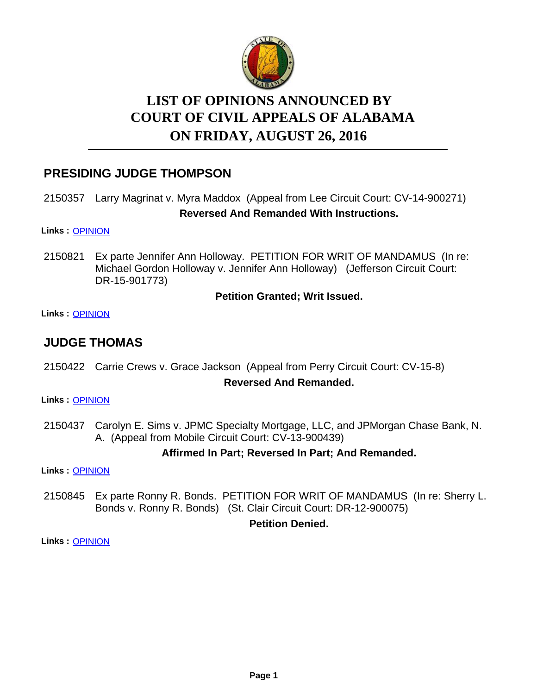

# **LIST OF OPINIONS ANNOUNCED BY ON FRIDAY, AUGUST 26, 2016 COURT OF CIVIL APPEALS OF ALABAMA**

# **PRESIDING JUDGE THOMPSON**

# 2150357 Larry Magrinat v. Myra Maddox (Appeal from Lee Circuit Court: CV-14-900271) **Reversed And Remanded With Instructions.**

**Links :** [OPINION](https://acis.alabama.gov/displaydocs.cfm?no=755965&event=4PR0JTGU6)

Ex parte Jennifer Ann Holloway. PETITION FOR WRIT OF MANDAMUS (In re: Michael Gordon Holloway v. Jennifer Ann Holloway) (Jefferson Circuit Court: DR-15-901773) 2150821

#### **Petition Granted; Writ Issued.**

**Links :** [OPINION](https://acis.alabama.gov/displaydocs.cfm?no=755972&event=4PR0JTI4L)

# **JUDGE THOMAS**

2150422 Carrie Crews v. Grace Jackson (Appeal from Perry Circuit Court: CV-15-8)

#### **Reversed And Remanded.**

**Links :** [OPINION](https://acis.alabama.gov/displaydocs.cfm?no=755966&event=4PR0JTH0P)

2150437 Carolyn E. Sims v. JPMC Specialty Mortgage, LLC, and JPMorgan Chase Bank, N. A. (Appeal from Mobile Circuit Court: CV-13-900439)

### **Affirmed In Part; Reversed In Part; And Remanded.**

**Links :** [OPINION](https://acis.alabama.gov/displaydocs.cfm?no=755968&event=4PR0JTHDO)

2150845 Ex parte Ronny R. Bonds. PETITION FOR WRIT OF MANDAMUS (In re: Sherry L. Bonds v. Ronny R. Bonds) (St. Clair Circuit Court: DR-12-900075)

#### **Petition Denied.**

**Links :** [OPINION](https://acis.alabama.gov/displaydocs.cfm?no=755974&event=4PR0JTIHK)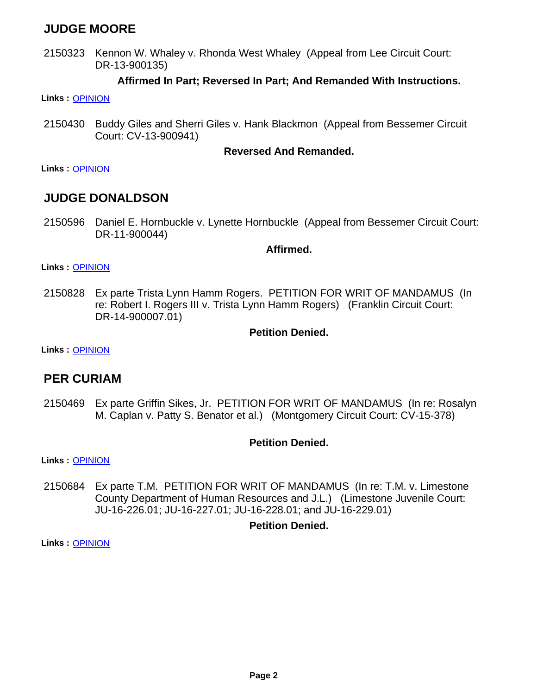# **JUDGE MOORE**

2150323 Kennon W. Whaley v. Rhonda West Whaley (Appeal from Lee Circuit Court: DR-13-900135)

#### **Affirmed In Part; Reversed In Part; And Remanded With Instructions.**

**Links :** [OPINION](https://acis.alabama.gov/displaydocs.cfm?no=755964&event=4PR0JTGMF)

2150430 Buddy Giles and Sherri Giles v. Hank Blackmon (Appeal from Bessemer Circuit Court: CV-13-900941)

#### **Reversed And Remanded.**

**Links :** [OPINION](https://acis.alabama.gov/displaydocs.cfm?no=755967&event=4PR0JTH77)

### **JUDGE DONALDSON**

2150596 Daniel E. Hornbuckle v. Lynette Hornbuckle (Appeal from Bessemer Circuit Court: DR-11-900044)

#### **Affirmed.**

**Links :** [OPINION](https://acis.alabama.gov/displaydocs.cfm?no=755970&event=4PR0JTHRL)

Ex parte Trista Lynn Hamm Rogers. PETITION FOR WRIT OF MANDAMUS (In re: Robert I. Rogers III v. Trista Lynn Hamm Rogers) (Franklin Circuit Court: DR-14-900007.01) 2150828

#### **Petition Denied.**

**Links :** [OPINION](https://acis.alabama.gov/displaydocs.cfm?no=755973&event=4PR0JTIB2)

## **PER CURIAM**

2150469 Ex parte Griffin Sikes, Jr. PETITION FOR WRIT OF MANDAMUS (In re: Rosalyn M. Caplan v. Patty S. Benator et al.) (Montgomery Circuit Court: CV-15-378)

#### **Petition Denied.**

**Links :** [OPINION](https://acis.alabama.gov/displaydocs.cfm?no=755969&event=4PR0JTHK6)

Ex parte T.M. PETITION FOR WRIT OF MANDAMUS (In re: T.M. v. Limestone County Department of Human Resources and J.L.) (Limestone Juvenile Court: JU-16-226.01; JU-16-227.01; JU-16-228.01; and JU-16-229.01) 2150684

#### **Petition Denied.**

**Links :** [OPINION](https://acis.alabama.gov/displaydocs.cfm?no=755971&event=4PR0JTHY2)